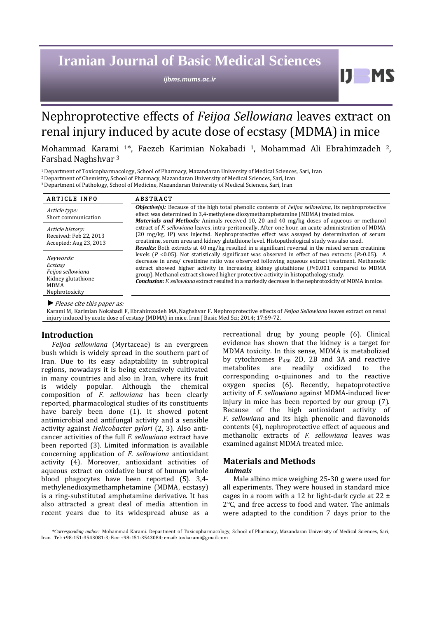# **Iranian Journal of Basic Medical Sciences**

*ijbms.mums.ac.ir*

## Nephroprotective effects of *Feijoa Sellowiana* leaves extract on renal injury induced by acute dose of ecstasy (MDMA) in mice

Mohammad Karami 1\*, Faezeh Karimian Nokabadi 1, Mohammad Ali Ebrahimzadeh 2, Farshad Naghshvar <sup>3</sup>

<sup>1</sup>Department of Toxicopharmacology, School of Pharmacy, Mazandaran University of Medical Sciences, Sari, Iran

<sup>2</sup>Department of Chemistry, School of Pharmacy, Mazandaran University of Medical Sciences, Sari, Iran

<sup>3</sup>Department of Pathology, School of Medicine, Mazandaran University of Medical Sciences, Sari, Iran

| <b>ARTICLE INFO</b>                                                                              | <b>ABSTRACT</b>                                                                                                                                                                                                                                                                                                                                                                                                                                                                                                     |  |  |  |  |
|--------------------------------------------------------------------------------------------------|---------------------------------------------------------------------------------------------------------------------------------------------------------------------------------------------------------------------------------------------------------------------------------------------------------------------------------------------------------------------------------------------------------------------------------------------------------------------------------------------------------------------|--|--|--|--|
| Article type:<br>Short communication                                                             | <b><i>Objective(s)</i></b> : Because of the high total phenolic contents of <i>Feijoa sellowiana</i> , its nephroprotective<br>effect was determined in 3,4-methylene dioxymethamphetamine (MDMA) treated mice.<br><b>Materials and Methods:</b> Animals received 10, 20 and 40 mg/kg doses of aqueous or methanol                                                                                                                                                                                                  |  |  |  |  |
| Article history:<br>Received: Feb 22, 2013<br>Accepted: Aug 23, 2013                             | extract of F. sellowiana leaves, intra-peritoneally. After one hour, an acute administration of MDMA<br>(20 mg/kg, IP) was injected. Nephroprotective effect was assayed by determination of serum<br>creatinine, serum urea and kidney glutathione level. Histopathological study was also used.<br><b>Results:</b> Both extracts at 40 mg/kg resulted in a significant reversal in the raised serum creatinine                                                                                                    |  |  |  |  |
| Keywords:<br>Ecstasy<br>Feijoa sellowiana<br>Kidney glutathione<br><b>MDMA</b><br>Nephrotoxicity | levels ( $P$ <0.05). Not statistically significant was observed in effect of two extracts ( $P$ >0.05). A<br>decrease in urea/ creatinine ratio was observed following aqueous extract treatment. Methanolic<br>extract showed higher activity in increasing kidney glutathione (P<0.001 compared to MDMA<br>group). Methanol extract showed higher protective activity in histopathology study.<br><b>Conclusion:</b> F. sellowiana extract resulted in a markedly decrease in the nephrotoxicity of MDMA in mice. |  |  |  |  |

*►*Please cite this paper as:

Karami M, Karimian Nokabadi F, Ebrahimzadeh MA,Naghshvar F. Nephroprotective effects of *Feijoa Sellowiana* leaves extract on renal injury induced by acute dose of ecstasy (MDMA) in mice. Iran J Basic Med Sci; 2014; 17:69-72.

## **Introduction**

*Feijoa sellowiana* (Myrtaceae) is an evergreen bush which is widely spread in the southern part of Iran. Due to its easy adaptability in subtropical regions, nowadays it is being extensively cultivated in many countries and also in Iran, where its fruit is widely popular. Although the chemical composition of *F. sellowiana* has been clearly reported, pharmacological studies of its constituents have barely been done (1). It showed potent antimicrobial and antifungal activity and a sensible activity against *Helicobacter pylori* (2, 3). Also anticancer activities of the full *F. sellowiana* extract have been reported (3). Limited information is available concerning application of *F. sellowiana* antioxidant activity (4). Moreover, antioxidant activities of aqueous extract on oxidative burst of human whole blood phagocytes have been reported (5). 3,4 methylenedioxymethamphetamine (MDMA, ecstasy) is a ring-substituted amphetamine derivative. It has also attracted a great deal of media attention in recent years due to its widespread abuse as a recreational drug by young people (6). Clinical evidence has shown that the kidney is a target for MDMA toxicity. In this sense, MDMA is metabolized by cytochromes P<sup>450</sup> 2D, 2B and 3A and reactive metabolites are readily oxidized to the corresponding o-qiuinones and to the reactive oxygen species (6). Recently, hepatoprotective activity of *F. sellowiana* against MDMA-induced liver injury in mice has been reported by our group (7). Because of the high antioxidant activity of *F. sellowiana* and its high phenolic and flavonoids contents (4), nephroprotective effect of aqueous and methanolic extracts of *F. sellowiana* leaves was examined against MDMA treated mice.

H

## **Materials and Methods**

## *Animals*

Male albino mice weighing 25-30 g were used for all experiments. They were housed in standard mice cages in a room with a 12 hr light-dark cycle at 22 ±  $2^{\circ}$ C, and free access to food and water. The animals were adapted to the condition 7 days prior to the

*<sup>\*</sup>Corresponding author:* Mohammad Karami. Department of Toxicopharmacology, School of Pharmacy, Mazandaran University of Medical Sciences, Sari, Iran. Tel: +98-151-3543081-3; Fax: +98-151-3543084; email: toxkarami@gmail.com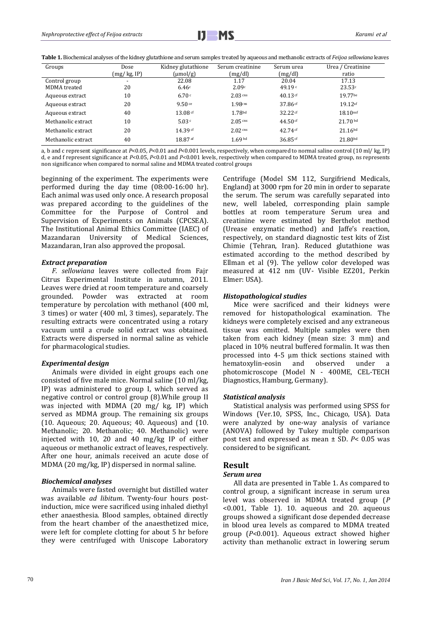

**Table 1.** Biochemical analyses of the kidney glutathione and serum samples treated by aqueous and methanolic extracts of *Feijoa sellowiana* leaves

| Groups             | Dose                     | Kidney glutathione           | Serum creatinine   | Serum urea         | Urea / Creatinine    |
|--------------------|--------------------------|------------------------------|--------------------|--------------------|----------------------|
|                    | (mg/ kg, IP)             | $\frac{\mu}{g}$              | (mg/dl)            | (mg/dl)            | ratio                |
| Control group      | $\overline{\phantom{a}}$ | 22.08                        | 1.17               | 20.04              | 17.13                |
| MDMA treated       | 20                       | 6.46c                        | 2.09c              | 49.19 $\degree$    | 23.53c               |
| Aqueous extract    | 10                       | 6.70c                        | $2.03$ cns         | $40.13 \text{ cf}$ | 19.77be              |
| Aqueous extract    | 20                       | 9.50c                        | 1.98cns            | $37.86$ cf         | $19.12$ af           |
| Aqueous extract    | 40                       | $13.08 \text{ }^{\text{cf}}$ | 1.78 <sup>bd</sup> | $32.22 \text{ cf}$ | 18.10 <sup>nsf</sup> |
| Methanolic extract | 10                       | 5.03c                        | $2.05$ cns         | 44.50 $cf$         | 21.70 <sup>bd</sup>  |
| Methanolic extract | 20                       | 14.39 cf                     | $2.02 \text{ cm}$  | $42.74 \text{ cf}$ | $21.16^{bd}$         |
| Methanolic extract | 40                       | 18.87 af                     | 1.69 <sup>bd</sup> | $36.85$ cf         | 21.80 <sup>bd</sup>  |

a, b and c represent significance at *P*<0.05, *P*<0.01 and *P*<0.001 levels, respectively, when compared to normal saline control (10 ml/ kg, IP) d, e and f represent significance at *P*<0.05, *P*<0.01 and *P*<0.001 levels, respectively when compared to MDMA treated group, ns represents non significance when compared to normal saline and MDMA treated control groups

beginning of the experiment. The experiments were performed during the day time (08:00-16:00 hr). Each animal was used only once. A research proposal was prepared according to the guidelines of the Committee for the Purpose of Control and Supervision of Experiments on Animals (CPCSEA). The Institutional Animal Ethics Committee (IAEC) of Mazandaran University of Medical Sciences, Mazandaran, Iran also approved the proposal.

## *Extract preparation*

*F. sellowiana* leaves were collected from Fajr Citrus Experimental Institute in autumn, 2011. Leaves were dried at room temperature and coarsely grounded. Powder was extracted at room temperature by percolation with methanol (400 ml, 3 times) or water (400 ml, 3 times), separately. The resulting extracts were concentrated using a rotary vacuum until a crude solid extract was obtained. Extracts were dispersed in normal saline as vehicle for pharmacological studies.

## *Experimental design*

Animals were divided in eight groups each one consisted of five male mice. Normal saline (10 ml/kg, IP) was administered to group I, which served as negative control or control group (8).While group II was injected with MDMA (20 mg/ kg, IP) which served as MDMA group. The remaining six groups (10. Aqueous; 20. Aqueous; 40. Aqueous) and (10. Methanolic; 20. Methanolic; 40. Methanolic) were injected with 10, 20 and 40 mg/kg IP of either aqueous or methanolic extract of leaves, respectively. After one hour, animals received an acute dose of MDMA (20 mg/kg, IP) dispersed in normal saline.

#### *Biochemical analyses*

Animals were fasted overnight but distilled water was available *ad libitum*. Twenty-four hours postinduction, mice were sacrificed using inhaled diethyl ether anaesthesia. Blood samples, obtained directly from the heart chamber of the anaesthetized mice, were left for complete clotting for about 5 hr before they were centrifuged with Uniscope Laboratory Centrifuge (Model SM 112, Surgifriend Medicals, England) at 3000 rpm for 20 min in order to separate the serum. The serum was carefully separated into new, well labeled, corresponding plain sample bottles at room temperature Serum urea and creatinine were estimated by Berthelot method (Urease enzymatic method) and Jaffe's reaction, respectively, on standard diagnostic test kits of Zist Chimie (Tehran, Iran). Reduced glutathione was estimated according to the method described by Ellman et al (9). The yellow color developed was measured at 412 nm (UV- Visible EZ201, Perkin Elmer: USA).

#### *Histopathological studies*

Mice were sacrificed and their kidneys were removed for histopathological examination. The kidneys were completely excised and any extraneous tissue was omitted. Multiple samples were then taken from each kidney (mean size: 3 mm) and placed in 10% neutral buffered formalin. It was then processed into 4-5 μm thick sections stained with hematoxylin-eosin and observed under photomicroscope (Model N - 400ME, CEL-TECH Diagnostics, Hamburg, Germany).

#### *Statistical analysis*

Statistical analysis was performed using SPSS for Windows (Ver.10, SPSS, Inc., Chicago, USA). Data were analyzed by one-way analysis of variance (ANOVA) followed by Tukey multiple comparison post test and expressed as mean ± SD. *P*< 0.05 was considered to be significant.

## **Result**

## *Serum urea*

All data are presented in Table 1. As compared to control group, a significant increase in serum urea level was observed in MDMA treated group (*P* <0.001, Table 1). 10. aqueous and 20. aqueous groups showed a significant dose depended decrease in blood urea levels as compared to MDMA treated group (*P*<0.001). Aqueous extract showed higher activity than methanolic extract in lowering serum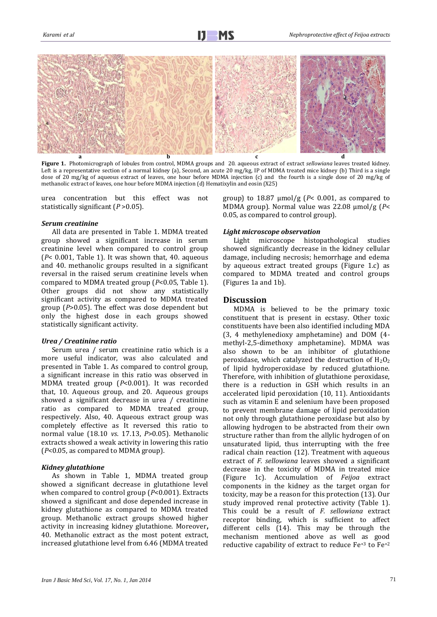

**Figure 1.** Photomicrograph of lobules from control, MDMA groups and 20. aqueous extract of extract *sellowiana* leaves treated kidney. Left is a representative section of a normal kidney (a), Second, an acute 20 mg/kg, IP of MDMA treated mice kidney (b) Third is a single dose of 20 mg/kg of aqueous extract of leaves, one hour before MDMA injection (c) and the fourth is a single dose of 20 mg/kg of methanolic extract of leaves, one hour before MDMA injection (d) Hematixylin and eosin (X25)

urea concentration but this effect was not statistically significant (*P* >0.05).

#### *Serum creatinine*

All data are presented in Table 1. MDMA treated group showed a significant increase in serum creatinine level when compared to control group (*P*< 0.001, Table 1). It was shown that, 40. aqueous and 40. methanolic groups resulted in a significant reversal in the raised serum creatinine levels when compared to MDMA treated group (*P*<0.05, Table 1). Other groups did not show any statistically significant activity as compared to MDMA treated group (*P*>0.05). The effect was dose dependent but only the highest dose in each groups showed statistically significant activity.

## *Urea / Creatinine ratio*

Serum urea / serum creatinine ratio which is a more useful indicator, was also calculated and presented in Table 1. As compared to control group, a significant increase in this ratio was observed in MDMA treated group (*P*<0.001). It was recorded that, 10. Aqueous group, and 20. Aqueous groups showed a significant decrease in urea / creatinine ratio as compared to MDMA treated group, respectively. Also, 40. Aqueous extract group was completely effective as It reversed this ratio to normal value (18.10 *vs*. 17.13, *P*>0.05). Methanolic extracts showed a weak activity in lowering this ratio (*P*<0.05, as compared to MDMA group).

### *Kidney glutathione*

As shown in Table 1, MDMA treated group showed a significant decrease in glutathione level when compared to control group ( $P<0.001$ ). Extracts showed a significant and dose depended increase in kidney glutathione as compared to MDMA treated group. Methanolic extract groups showed higher activity in increasing kidney glutathione. Moreover**,**  40. Methanolic extract as the most potent extract, increased glutathione level from 6.46 (MDMA treated group) to 18.87 µmol/g (*P*< 0.001, as compared to MDMA group). Normal value was 22.08 µmol/g (*P*< 0.05, as compared to control group).

### *Light microscope observation*

Light microscope histopathological studies showed significantly decrease in the kidney cellular damage, including necrosis; hemorrhage and edema by aqueous extract treated groups (Figure 1.c) as compared to MDMA treated and control groups (Figures 1a and 1b).

## **Discussion**

MDMA is believed to be the primary toxic constituent that is present in ecstasy. Other toxic constituents have been also identified including MDA (3, 4 methylenedioxy amphetamine) and DOM (4 methyl-2,5-dimethoxy amphetamine). MDMA was also shown to be an inhibitor of glutathione peroxidase, which catalyzed the destruction of  $H_2O_2$ of lipid hydroperoxidase by reduced glutathione. Therefore, with inhibition of glutathione peroxidase, there is a reduction in GSH which results in an accelerated lipid peroxidation (10, 11). Antioxidants such as vitamin E and selenium have been proposed to prevent membrane damage of lipid peroxidation not only through glutathione peroxidase but also by allowing hydrogen to be abstracted from their own structure rather than from the allylic hydrogen of on unsaturated lipid, thus interrupting with the free radical chain reaction (12). Treatment with aqueous extract of *F. sellowiana* leaves showed a significant decrease in the toxicity of MDMA in treated mice (Figure 1c). Accumulation of *Feijoa* extract components in the kidney as the target organ for toxicity, may be a reason for this protection (13). Our study improved renal protective activity (Table 1). This could be a result of *F. sellowiana* extract receptor binding, which is sufficient to affect different cells (14). This may be through the mechanism mentioned above as well as good reductive capability of extract to reduce Fe+3 to Fe+2